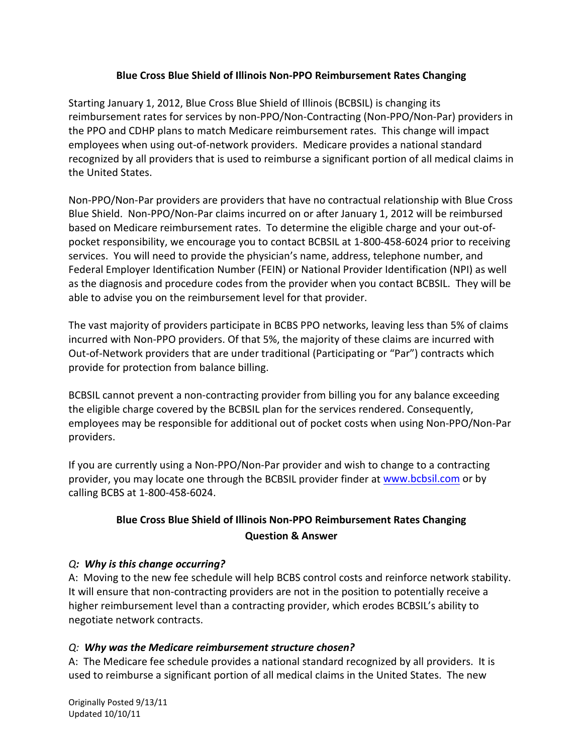#### **Blue Cross Blue Shield of Illinois Non-PPO Reimbursement Rates Changing**

Starting January 1, 2012, Blue Cross Blue Shield of Illinois (BCBSIL) is changing its reimbursement rates for services by non-PPO/Non-Contracting (Non-PPO/Non-Par) providers in the PPO and CDHP plans to match Medicare reimbursement rates. This change will impact employees when using out-of-network providers. Medicare provides a national standard recognized by all providers that is used to reimburse a significant portion of all medical claims in the United States.

Non-PPO/Non-Par providers are providers that have no contractual relationship with Blue Cross Blue Shield. Non-PPO/Non-Par claims incurred on or after January 1, 2012 will be reimbursed based on Medicare reimbursement rates. To determine the eligible charge and your out-ofpocket responsibility, we encourage you to contact BCBSIL at 1-800-458-6024 prior to receiving services. You will need to provide the physician's name, address, telephone number, and Federal Employer Identification Number (FEIN) or National Provider Identification (NPI) as well as the diagnosis and procedure codes from the provider when you contact BCBSIL. They will be able to advise you on the reimbursement level for that provider.

The vast majority of providers participate in BCBS PPO networks, leaving less than 5% of claims incurred with Non-PPO providers. Of that 5%, the majority of these claims are incurred with Out-of-Network providers that are under traditional (Participating or "Par") contracts which provide for protection from balance billing.

BCBSIL cannot prevent a non-contracting provider from billing you for any balance exceeding the eligible charge covered by the BCBSIL plan for the services rendered. Consequently, employees may be responsible for additional out of pocket costs when using Non-PPO/Non-Par providers.

If you are currently using a Non-PPO/Non-Par provider and wish to change to a contracting provider, you may locate one through the BCBSIL provider finder at [www.bcbsil.com](http://www.bcbsil.com/) or by calling BCBS at 1-800-458-6024.

# **Blue Cross Blue Shield of Illinois Non-PPO Reimbursement Rates Changing Question & Answer**

#### *Q: Why is this change occurring?*

A: Moving to the new fee schedule will help BCBS control costs and reinforce network stability. It will ensure that non-contracting providers are not in the position to potentially receive a higher reimbursement level than a contracting provider, which erodes BCBSIL's ability to negotiate network contracts.

### *Q: Why was the Medicare reimbursement structure chosen?*

A: The Medicare fee schedule provides a national standard recognized by all providers. It is used to reimburse a significant portion of all medical claims in the United States. The new